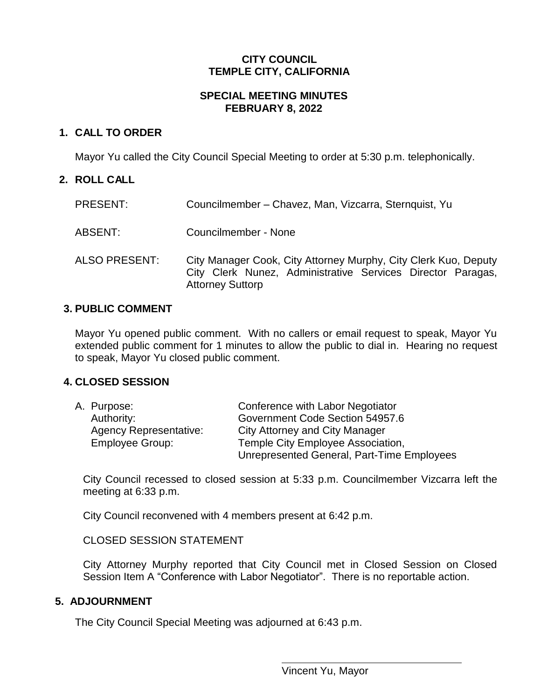## **CITY COUNCIL TEMPLE CITY, CALIFORNIA**

### **SPECIAL MEETING MINUTES FEBRUARY 8, 2022**

# **1. CALL TO ORDER**

Mayor Yu called the City Council Special Meeting to order at 5:30 p.m. telephonically.

### **2. ROLL CALL**

| <b>PRESENT:</b>      | Councilmember - Chavez, Man, Vizcarra, Sternquist, Yu                                                                                                     |
|----------------------|-----------------------------------------------------------------------------------------------------------------------------------------------------------|
| ABSENT:              | Councilmember - None                                                                                                                                      |
| <b>ALSO PRESENT:</b> | City Manager Cook, City Attorney Murphy, City Clerk Kuo, Deputy<br>City Clerk Nunez, Administrative Services Director Paragas,<br><b>Attorney Suttorp</b> |

#### **3. PUBLIC COMMENT**

Mayor Yu opened public comment. With no callers or email request to speak, Mayor Yu extended public comment for 1 minutes to allow the public to dial in. Hearing no request to speak, Mayor Yu closed public comment.

## **4. CLOSED SESSION**

| A. Purpose:                   | Conference with Labor Negotiator           |
|-------------------------------|--------------------------------------------|
| Authority:                    | Government Code Section 54957.6            |
| <b>Agency Representative:</b> | <b>City Attorney and City Manager</b>      |
| Employee Group:               | Temple City Employee Association,          |
|                               | Unrepresented General, Part-Time Employees |

City Council recessed to closed session at 5:33 p.m. Councilmember Vizcarra left the meeting at 6:33 p.m.

City Council reconvened with 4 members present at 6:42 p.m.

CLOSED SESSION STATEMENT

City Attorney Murphy reported that City Council met in Closed Session on Closed Session Item A "Conference with Labor Negotiator". There is no reportable action.

#### **5. ADJOURNMENT**

The City Council Special Meeting was adjourned at 6:43 p.m.